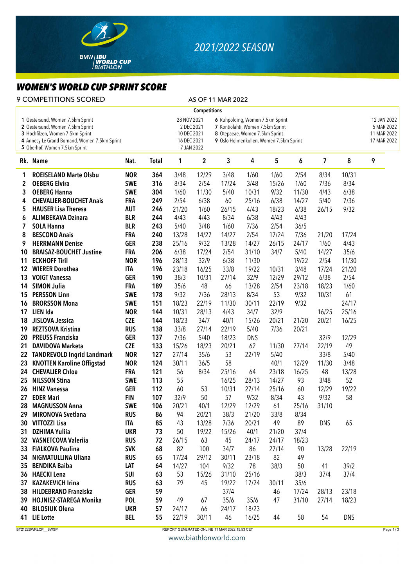

## *2021/2022 SEASON*

## *WOMEN'S WORLD CUP SPRINT SCORE*

9 COMPETITIONS SCORED AS OF 11 MAR 2022

|    | <b>Competitions</b>                                                                                                                                                                        |            |                                                                                                                                                                                                                             |       |             |       |            |       |       |            |                                                         |   |
|----|--------------------------------------------------------------------------------------------------------------------------------------------------------------------------------------------|------------|-----------------------------------------------------------------------------------------------------------------------------------------------------------------------------------------------------------------------------|-------|-------------|-------|------------|-------|-------|------------|---------------------------------------------------------|---|
|    | 1 Oestersund, Women 7.5km Sprint<br>2 Oestersund, Women 7.5km Sprint<br>3 Hochfilzen, Women 7.5km Sprint<br>4 Annecy-Le Grand Bornand, Women 7.5km Sprint<br>5 Oberhof, Women 7.5km Sprint |            | 28 NOV 2021<br>6 Ruhpolding, Women 7.5km Sprint<br>2 DEC 2021<br>7 Kontiolahti, Women 7.5km Sprint<br>8 Otepaeae, Women 7.5km Sprint<br>10 DEC 2021<br>9 Oslo Holmenkollen, Women 7.5km Sprint<br>16 DEC 2021<br>7 JAN 2022 |       |             |       |            |       |       |            | 12 JAN 2022<br>5 MAR 2022<br>11 MAR 2022<br>17 MAR 2022 |   |
|    | Rk. Name                                                                                                                                                                                   | Nat.       | <b>Total</b>                                                                                                                                                                                                                | 1     | $\mathbf 2$ | 3     | 4          | 5     | 6     | 7          | 8                                                       | 9 |
| 1  | <b>ROEISELAND Marte Olsbu</b>                                                                                                                                                              | <b>NOR</b> | 364                                                                                                                                                                                                                         | 3/48  | 12/29       | 3/48  | 1/60       | 1/60  | 2/54  | 8/34       | 10/31                                                   |   |
| 2  | <b>OEBERG Elvira</b>                                                                                                                                                                       | <b>SWE</b> | 316                                                                                                                                                                                                                         | 8/34  | 2/54        | 17/24 | 3/48       | 15/26 | 1/60  | 7/36       | 8/34                                                    |   |
| 3  | <b>OEBERG Hanna</b>                                                                                                                                                                        | <b>SWE</b> | 304                                                                                                                                                                                                                         | 1/60  | 11/30       | 5/40  | 10/31      | 9/32  | 11/30 | 4/43       | 6/38                                                    |   |
| 4  | <b>CHEVALIER-BOUCHET Anais</b>                                                                                                                                                             | <b>FRA</b> | 249                                                                                                                                                                                                                         | 2/54  | 6/38        | 60    | 25/16      | 6/38  | 14/27 | 5/40       | 7/36                                                    |   |
| 5  | <b>HAUSER Lisa Theresa</b>                                                                                                                                                                 | <b>AUT</b> | 246                                                                                                                                                                                                                         | 21/20 | 1/60        | 26/15 | 4/43       | 18/23 | 6/38  | 26/15      | 9/32                                                    |   |
| 6  | <b>ALIMBEKAVA Dzinara</b>                                                                                                                                                                  | <b>BLR</b> | 244                                                                                                                                                                                                                         | 4/43  | 4/43        | 8/34  | 6/38       | 4/43  | 4/43  |            |                                                         |   |
| 7  | <b>SOLA Hanna</b>                                                                                                                                                                          | <b>BLR</b> | 243                                                                                                                                                                                                                         | 5/40  | 3/48        | 1/60  | 7/36       | 2/54  | 36/5  |            |                                                         |   |
| 8  | <b>BESCOND Anais</b>                                                                                                                                                                       | <b>FRA</b> | 240                                                                                                                                                                                                                         | 13/28 | 14/27       | 14/27 | 2/54       | 17/24 | 7/36  | 21/20      | 17/24                                                   |   |
| 9  | <b>HERRMANN Denise</b>                                                                                                                                                                     | <b>GER</b> | 238                                                                                                                                                                                                                         | 25/16 | 9/32        | 13/28 | 14/27      | 26/15 | 24/17 | 1/60       | 4/43                                                    |   |
| 10 | <b>BRAISAZ-BOUCHET Justine</b>                                                                                                                                                             | <b>FRA</b> | 206                                                                                                                                                                                                                         | 6/38  | 17/24       | 2/54  | 31/10      | 34/7  | 5/40  | 14/27      | 35/6                                                    |   |
| 11 | <b>ECKHOFF Tiril</b>                                                                                                                                                                       | <b>NOR</b> | 196                                                                                                                                                                                                                         | 28/13 | 32/9        | 6/38  | 11/30      |       | 19/22 | 2/54       | 11/30                                                   |   |
| 12 | <b>WIERER Dorothea</b>                                                                                                                                                                     | <b>ITA</b> | 196                                                                                                                                                                                                                         | 23/18 | 16/25       | 33/8  | 19/22      | 10/31 | 3/48  | 17/24      | 21/20                                                   |   |
| 13 | <b>VOIGT Vanessa</b>                                                                                                                                                                       | <b>GER</b> | 190                                                                                                                                                                                                                         | 38/3  | 10/31       | 27/14 | 32/9       | 12/29 | 29/12 | 6/38       | 2/54                                                    |   |
| 14 | <b>SIMON Julia</b>                                                                                                                                                                         | <b>FRA</b> | 189                                                                                                                                                                                                                         | 35/6  | 48          | 66    | 13/28      | 2/54  | 23/18 | 18/23      | 1/60                                                    |   |
| 15 | <b>PERSSON Linn</b>                                                                                                                                                                        | <b>SWE</b> | 178                                                                                                                                                                                                                         | 9/32  | 7/36        | 28/13 | 8/34       | 53    | 9/32  | 10/31      | 61                                                      |   |
| 16 | <b>BRORSSON Mona</b>                                                                                                                                                                       | <b>SWE</b> | 151                                                                                                                                                                                                                         | 18/23 | 22/19       | 11/30 | 30/11      | 22/19 | 9/32  |            | 24/17                                                   |   |
| 17 | LIEN Ida                                                                                                                                                                                   | <b>NOR</b> | 144                                                                                                                                                                                                                         | 10/31 | 28/13       | 4/43  | 34/7       | 32/9  |       | 16/25      | 25/16                                                   |   |
| 18 | JISLOVA Jessica                                                                                                                                                                            | <b>CZE</b> | 144                                                                                                                                                                                                                         | 18/23 | 34/7        | 40/1  | 15/26      | 20/21 | 21/20 | 20/21      | 16/25                                                   |   |
| 19 | <b>REZTSOVA Kristina</b>                                                                                                                                                                   | <b>RUS</b> | 138                                                                                                                                                                                                                         | 33/8  | 27/14       | 22/19 | 5/40       | 7/36  | 20/21 |            |                                                         |   |
| 20 | <b>PREUSS Franziska</b>                                                                                                                                                                    | <b>GER</b> | 137                                                                                                                                                                                                                         | 7/36  | 5/40        | 18/23 | <b>DNS</b> |       |       | 32/9       | 12/29                                                   |   |
| 21 | <b>DAVIDOVA Marketa</b>                                                                                                                                                                    | <b>CZE</b> | 133                                                                                                                                                                                                                         | 15/26 | 18/23       | 20/21 | 62         | 11/30 | 27/14 | 22/19      | 49                                                      |   |
| 22 | <b>TANDREVOLD Ingrid Landmark</b>                                                                                                                                                          | <b>NOR</b> | 127                                                                                                                                                                                                                         | 27/14 | 35/6        | 53    | 22/19      | 5/40  |       | 33/8       | 5/40                                                    |   |
| 23 | <b>KNOTTEN Karoline Offigstad</b>                                                                                                                                                          | <b>NOR</b> | 124                                                                                                                                                                                                                         | 30/11 | 36/5        | 58    |            | 40/1  | 12/29 | 11/30      | 3/48                                                    |   |
| 24 | <b>CHEVALIER Chloe</b>                                                                                                                                                                     | <b>FRA</b> | 121                                                                                                                                                                                                                         | 56    | 8/34        | 25/16 | 64         | 23/18 | 16/25 | 48         | 13/28                                                   |   |
| 25 | <b>NILSSON Stina</b>                                                                                                                                                                       | <b>SWE</b> | 113                                                                                                                                                                                                                         | 55    |             | 16/25 | 28/13      | 14/27 | 93    | 3/48       | 52                                                      |   |
| 26 | <b>HINZ Vanessa</b>                                                                                                                                                                        | <b>GER</b> | 112                                                                                                                                                                                                                         | 60    | 53          | 10/31 | 27/14      | 25/16 | 60    | 12/29      | 19/22                                                   |   |
| 27 | <b>EDER Mari</b>                                                                                                                                                                           | <b>FIN</b> | 107                                                                                                                                                                                                                         | 32/9  | 50          | 57    | 9/32       | 8/34  | 43    | 9/32       | 58                                                      |   |
| 28 | <b>MAGNUSSON Anna</b>                                                                                                                                                                      | <b>SWE</b> | 106                                                                                                                                                                                                                         | 20/21 | 40/1        | 12/29 | 12/29      | 61    | 25/16 | 31/10      |                                                         |   |
| 29 | <b>MIRONOVA Svetlana</b>                                                                                                                                                                   | <b>RUS</b> | 86                                                                                                                                                                                                                          | 94    | 20/21       | 38/3  | 21/20      | 33/8  | 8/34  |            |                                                         |   |
|    | 30 VITTOZZI Lisa                                                                                                                                                                           | <b>ITA</b> | 85                                                                                                                                                                                                                          | 43    | 13/28       | 7/36  | 20/21      | 49    | 89    | <b>DNS</b> | 65                                                      |   |
| 31 | <b>DZHIMA Yuliia</b>                                                                                                                                                                       | <b>UKR</b> | 73                                                                                                                                                                                                                          | 50    | 19/22       | 15/26 | 40/1       | 21/20 | 37/4  |            |                                                         |   |
|    | 32 VASNETCOVA Valeriia                                                                                                                                                                     | <b>RUS</b> | 72                                                                                                                                                                                                                          | 26/15 | 63          | 45    | 24/17      | 24/17 | 18/23 |            |                                                         |   |
|    | 33 FIALKOVA Paulina                                                                                                                                                                        | <b>SVK</b> | 68                                                                                                                                                                                                                          | 82    | 100         | 34/7  | 86         | 27/14 | 90    | 13/28      | 22/19                                                   |   |
| 34 | <b>NIGMATULLINA Uliana</b>                                                                                                                                                                 | <b>RUS</b> | 65                                                                                                                                                                                                                          | 17/24 | 29/12       | 30/11 | 23/18      | 82    | 49    |            |                                                         |   |
| 35 | <b>BENDIKA Baiba</b>                                                                                                                                                                       | LAT        | 64                                                                                                                                                                                                                          | 14/27 | 104         | 9/32  | 78         | 38/3  | 50    | 41         | 39/2                                                    |   |
| 36 | <b>HAECKI</b> Lena                                                                                                                                                                         | <b>SUI</b> | 63                                                                                                                                                                                                                          | 53    | 15/26       | 31/10 | 25/16      |       | 38/3  | 37/4       | 37/4                                                    |   |
| 37 | <b>KAZAKEVICH Irina</b>                                                                                                                                                                    | <b>RUS</b> | 63                                                                                                                                                                                                                          | 79    | 45          | 19/22 | 17/24      | 30/11 | 35/6  |            |                                                         |   |
| 38 | <b>HILDEBRAND Franziska</b>                                                                                                                                                                | <b>GER</b> | 59                                                                                                                                                                                                                          |       |             | 37/4  |            | 46    | 17/24 | 28/13      | 23/18                                                   |   |
| 39 | <b>HOJNISZ-STAREGA Monika</b>                                                                                                                                                              | <b>POL</b> | 59                                                                                                                                                                                                                          | 49    | 67          | 35/6  | 35/6       | 47    | 31/10 | 27/14      | 18/23                                                   |   |
| 40 | <b>BILOSIUK Olena</b>                                                                                                                                                                      | <b>UKR</b> | 57                                                                                                                                                                                                                          | 24/17 | 66          | 24/17 | 18/23      |       |       |            |                                                         |   |
|    | 41 LIE Lotte                                                                                                                                                                               | <b>BEL</b> | 55                                                                                                                                                                                                                          | 22/19 | 30/11       | 46    | 16/25      | 44    | 58    | 54         | <b>DNS</b>                                              |   |
|    |                                                                                                                                                                                            |            |                                                                                                                                                                                                                             |       |             |       |            |       |       |            |                                                         |   |

BT2122SWRLCP\_\_SWSP Page 1/3

www.biathlonworld.com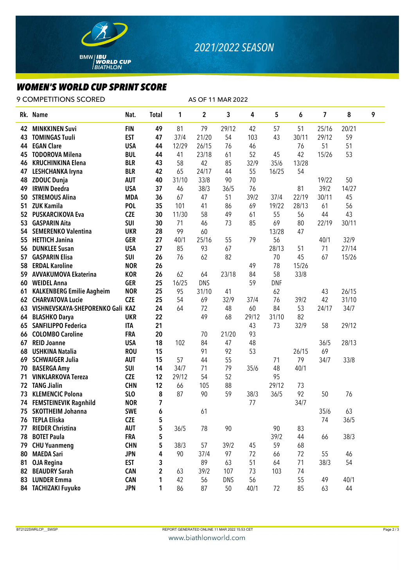

## *WOMEN'S WORLD CUP SPRINT SCORE*

9 COMPETITIONS SCORED AS OF 11 MAR 2022

|    | Rk. Name                         | Nat.       | <b>Total</b>   | 1     | 2          | 3          | 4     | 5          | 6     | 7     | 8     | 9 |
|----|----------------------------------|------------|----------------|-------|------------|------------|-------|------------|-------|-------|-------|---|
| 42 | <b>MINKKINEN Suvi</b>            | <b>FIN</b> | 49             | 81    | 79         | 29/12      | 42    | 57         | 51    | 25/16 | 20/21 |   |
| 43 | <b>TOMINGAS Tuuli</b>            | <b>EST</b> | 47             | 37/4  | 21/20      | 54         | 103   | 43         | 30/11 | 29/12 | 59    |   |
| 44 | <b>EGAN Clare</b>                | <b>USA</b> | 44             | 12/29 | 26/15      | 76         | 46    |            | 76    | 51    | 51    |   |
| 45 | <b>TODOROVA Milena</b>           | <b>BUL</b> | 44             | 41    | 23/18      | 61         | 52    | 45         | 42    | 15/26 | 53    |   |
| 46 | <b>KRUCHINKINA Elena</b>         | <b>BLR</b> | 43             | 58    | 42         | 85         | 32/9  | 35/6       | 13/28 |       |       |   |
| 47 | <b>LESHCHANKA Iryna</b>          | <b>BLR</b> | 42             | 65    | 24/17      | 44         | 55    | 16/25      | 54    |       |       |   |
| 48 | <b>ZDOUC Dunja</b>               | <b>AUT</b> | 40             | 31/10 | 33/8       | 90         | 70    |            |       | 19/22 | 50    |   |
| 49 | <b>IRWIN Deedra</b>              | <b>USA</b> | 37             | 46    | 38/3       | 36/5       | 76    |            | 81    | 39/2  | 14/27 |   |
| 50 | <b>STREMOUS Alina</b>            | <b>MDA</b> | 36             | 67    | 47         | 51         | 39/2  | 37/4       | 22/19 | 30/11 | 45    |   |
| 51 | <b>ZUK Kamila</b>                | <b>POL</b> | 35             | 101   | 41         | 86         | 69    | 19/22      | 28/13 | 61    | 56    |   |
| 52 | <b>PUSKARCIKOVA Eva</b>          | <b>CZE</b> | 30             | 11/30 | 58         | 49         | 61    | 55         | 56    | 44    | 43    |   |
| 53 | <b>GASPARIN Aita</b>             | <b>SUI</b> | 30             | 71    | 46         | 73         | 85    | 69         | 80    | 22/19 | 30/11 |   |
| 54 | <b>SEMERENKO Valentina</b>       | <b>UKR</b> | 28             | 99    | 60         |            |       | 13/28      | 47    |       |       |   |
| 55 | <b>HETTICH Janina</b>            | <b>GER</b> | 27             | 40/1  | 25/16      | 55         | 79    | 56         |       | 40/1  | 32/9  |   |
| 56 | <b>DUNKLEE Susan</b>             | <b>USA</b> | 27             | 85    | 93         | 67         |       | 28/13      | 51    | 71    | 27/14 |   |
| 57 | <b>GASPARIN Elisa</b>            | <b>SUI</b> | 26             | 76    | 62         | 82         |       | 70         | 45    | 67    | 15/26 |   |
| 58 | <b>ERDAL Karoline</b>            | <b>NOR</b> | 26             |       |            |            | 49    | 78         | 15/26 |       |       |   |
| 59 | <b>AVVAKUMOVA Ekaterina</b>      | <b>KOR</b> | 26             | 62    | 64         | 23/18      | 84    | 58         | 33/8  |       |       |   |
| 60 | <b>WEIDEL Anna</b>               | <b>GER</b> | 25             | 16/25 | <b>DNS</b> |            | 59    | <b>DNF</b> |       |       |       |   |
| 61 | <b>KALKENBERG Emilie Aagheim</b> | <b>NOR</b> | 25             | 95    | 31/10      | 41         |       | 62         |       | 43    | 26/15 |   |
| 62 | <b>CHARVATOVA Lucie</b>          | <b>CZE</b> | 25             | 54    | 69         | 32/9       | 37/4  | 76         | 39/2  | 42    | 31/10 |   |
| 63 | VISHNEVSKAYA-SHEPORENKO Gali KAZ |            | 24             | 64    | 72         | 48         | 60    | 84         | 53    | 24/17 | 34/7  |   |
| 64 | <b>BLASHKO Darya</b>             | <b>UKR</b> | 22             |       | 49         | 68         | 29/12 | 31/10      | 82    |       |       |   |
| 65 | <b>SANFILIPPO Federica</b>       | <b>ITA</b> | 21             |       |            |            | 43    | 73         | 32/9  | 58    | 29/12 |   |
| 66 | <b>COLOMBO Caroline</b>          | <b>FRA</b> | 20             |       | 70         | 21/20      | 93    |            |       |       |       |   |
| 67 | <b>REID Joanne</b>               | <b>USA</b> | 18             | 102   | 84         | 47         | 48    |            |       | 36/5  | 28/13 |   |
| 68 | <b>USHKINA Natalia</b>           | <b>ROU</b> | 15             |       | 91         | 92         | 53    |            | 26/15 | 69    |       |   |
| 69 | <b>SCHWAIGER Julia</b>           | <b>AUT</b> | 15             | 57    | 44         | 55         |       | 71         | 79    | 34/7  | 33/8  |   |
| 70 | <b>BASERGA Amy</b>               | SUI        | 14             | 34/7  | 71         | 79         | 35/6  | 48         | 40/1  |       |       |   |
| 71 | <b>VINKLARKOVA Tereza</b>        | <b>CZE</b> | 12             | 29/12 | 54         | 52         |       | 95         |       |       |       |   |
| 72 | <b>TANG Jialin</b>               | <b>CHN</b> | 12             | 66    | 105        | 88         |       | 29/12      | 73    |       |       |   |
| 73 | <b>KLEMENCIC Polona</b>          | SLO        | 8              | 87    | 90         | 59         | 38/3  | 36/5       | 92    | 50    | 76    |   |
| 74 | <b>FEMSTEINEVIK Ragnhild</b>     | <b>NOR</b> | 7              |       |            |            | 77    |            | 34/7  |       |       |   |
| 75 | <b>SKOTTHEIM Johanna</b>         | <b>SWE</b> | 6              |       | 61         |            |       |            |       | 35/6  | 63    |   |
| 76 | <b>TEPLA Eliska</b>              | <b>CZE</b> | 5              |       |            |            |       |            |       | 74    | 36/5  |   |
| 77 | <b>RIEDER Christina</b>          | <b>AUT</b> | 5              | 36/5  | 78         | 90         |       | 90         | 83    |       |       |   |
| 78 | <b>BOTET Paula</b>               | <b>FRA</b> | 5              |       |            |            |       | 39/2       | 44    | 66    | 38/3  |   |
| 79 | <b>CHU Yuanmeng</b>              | <b>CHN</b> | 5              | 38/3  | 57         | 39/2       | 45    | 59         | 68    |       |       |   |
| 80 | <b>MAEDA Sari</b>                | <b>JPN</b> | 4              | 90    | 37/4       | 97         | 72    | 66         | 72    | 55    | 46    |   |
| 81 | <b>OJA Regina</b>                | <b>EST</b> | 3              |       | 89         | 63         | 51    | 64         | 71    | 38/3  | 54    |   |
| 82 | <b>BEAUDRY Sarah</b>             | <b>CAN</b> | $\overline{2}$ | 63    | 39/2       | 107        | 73    | 103        | 74    |       |       |   |
| 83 | <b>LUNDER Emma</b>               | <b>CAN</b> | 1              | 42    | 56         | <b>DNS</b> | 56    |            | 55    | 49    | 40/1  |   |
|    | 84 TACHIZAKI Fuyuko              | <b>JPN</b> | 1              | 86    | 87         | 50         | 40/1  | 72         | 85    | 63    | 44    |   |